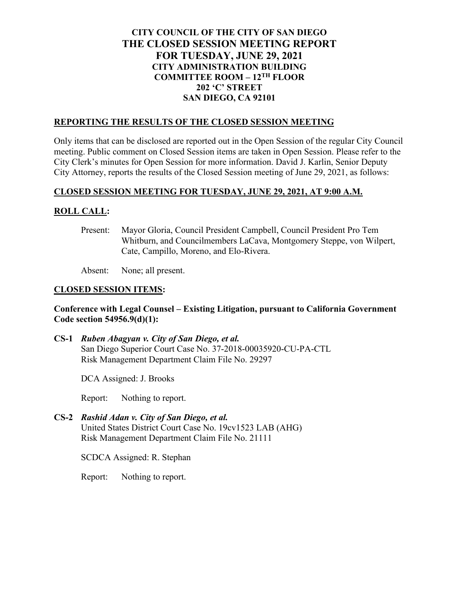# **CITY COUNCIL OF THE CITY OF SAN DIEGO THE CLOSED SESSION MEETING REPORT FOR TUESDAY, JUNE 29, 2021 CITY ADMINISTRATION BUILDING COMMITTEE ROOM – 12TH FLOOR 202 'C' STREET SAN DIEGO, CA 92101**

#### **REPORTING THE RESULTS OF THE CLOSED SESSION MEETING**

Only items that can be disclosed are reported out in the Open Session of the regular City Council meeting. Public comment on Closed Session items are taken in Open Session. Please refer to the City Clerk's minutes for Open Session for more information. David J. Karlin, Senior Deputy City Attorney, reports the results of the Closed Session meeting of June 29, 2021, as follows:

## **CLOSED SESSION MEETING FOR TUESDAY, JUNE 29, 2021, AT 9:00 A.M.**

# **ROLL CALL:**

Present: Mayor Gloria, Council President Campbell, Council President Pro Tem Whitburn, and Councilmembers LaCava, Montgomery Steppe, von Wilpert, Cate, Campillo, Moreno, and Elo-Rivera.

Absent: None; all present.

## **CLOSED SESSION ITEMS:**

## **Conference with Legal Counsel – Existing Litigation, pursuant to California Government Code section 54956.9(d)(1):**

**CS-1** *Ruben Abagyan v. City of San Diego, et al.* San Diego Superior Court Case No. 37-2018-00035920-CU-PA-CTL Risk Management Department Claim File No. 29297

DCA Assigned: J. Brooks

Report: Nothing to report.

**CS-2** *Rashid Adan v. City of San Diego, et al.* United States District Court Case No. 19cv1523 LAB (AHG) Risk Management Department Claim File No. 21111

SCDCA Assigned: R. Stephan

Report: Nothing to report.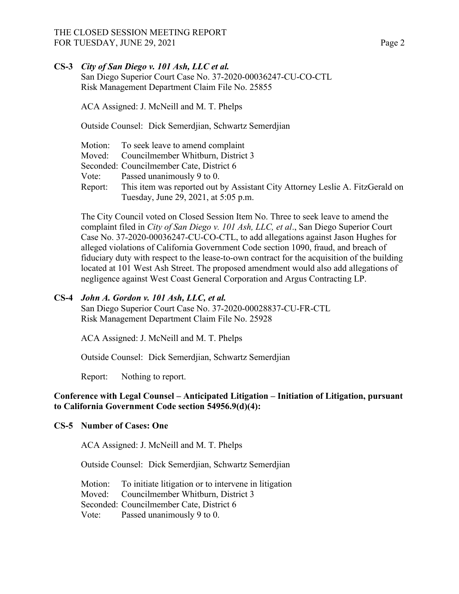## THE CLOSED SESSION MEETING REPORT FOR TUESDAY, JUNE 29, 2021 **Page 2** Page 2

## **CS-3** *City of San Diego v. 101 Ash, LLC et al.*

San Diego Superior Court Case No. 37-2020-00036247-CU-CO-CTL Risk Management Department Claim File No. 25855

ACA Assigned: J. McNeill and M. T. Phelps

Outside Counsel: Dick Semerdjian, Schwartz Semerdjian

|         | Motion: To seek leave to amend complaint                                      |
|---------|-------------------------------------------------------------------------------|
|         | Moved: Councilmember Whitburn, District 3                                     |
|         | Seconded: Councilmember Cate, District 6                                      |
|         | Vote: Passed unanimously $9$ to 0.                                            |
| Report: | This item was reported out by Assistant City Attorney Leslie A. FitzGerald on |
|         | Tuesday, June 29, 2021, at 5:05 p.m.                                          |

The City Council voted on Closed Session Item No. Three to seek leave to amend the complaint filed in *City of San Diego v. 101 Ash, LLC, et al*., San Diego Superior Court Case No. 37-2020-00036247-CU-CO-CTL, to add allegations against Jason Hughes for alleged violations of California Government Code section 1090, fraud, and breach of fiduciary duty with respect to the lease-to-own contract for the acquisition of the building located at 101 West Ash Street. The proposed amendment would also add allegations of negligence against West Coast General Corporation and Argus Contracting LP.

#### **CS-4** *John A. Gordon v. 101 Ash, LLC, et al.*

San Diego Superior Court Case No. 37-2020-00028837-CU-FR-CTL Risk Management Department Claim File No. 25928

ACA Assigned: J. McNeill and M. T. Phelps

Outside Counsel: Dick Semerdjian, Schwartz Semerdjian

Report: Nothing to report.

# **Conference with Legal Counsel – Anticipated Litigation – Initiation of Litigation, pursuant to California Government Code section 54956.9(d)(4):**

## **CS-5 Number of Cases: One**

ACA Assigned: J. McNeill and M. T. Phelps

Outside Counsel: Dick Semerdjian, Schwartz Semerdjian

Motion: To initiate litigation or to intervene in litigation Moved: Councilmember Whitburn, District 3 Seconded: Councilmember Cate, District 6 Vote: Passed unanimously 9 to 0.